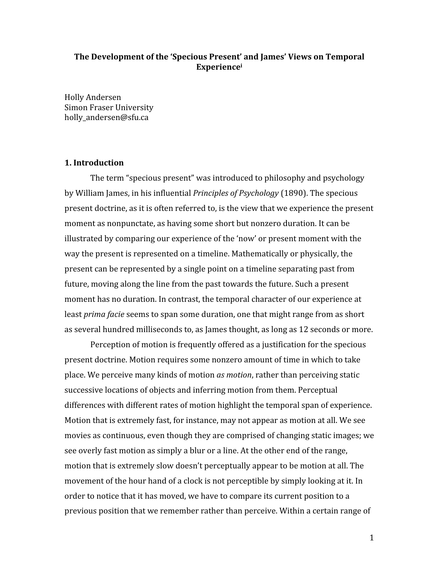# **The Development of the 'Specious Present' and James' Views on Temporal Experiencei**

Holly Andersen Simon Fraser University holly andersen@sfu.ca

## **1. Introduction**

The term "specious present" was introduced to philosophy and psychology by William James, in his influential *Principles of Psychology* (1890). The specious present doctrine, as it is often referred to, is the view that we experience the present moment as nonpunctate, as having some short but nonzero duration. It can be illustrated by comparing our experience of the 'now' or present moment with the way the present is represented on a timeline. Mathematically or physically, the present can be represented by a single point on a timeline separating past from future, moving along the line from the past towards the future. Such a present moment has no duration. In contrast, the temporal character of our experience at least *prima facie* seems to span some duration, one that might range from as short as several hundred milliseconds to, as James thought, as long as 12 seconds or more.

Perception of motion is frequently offered as a justification for the specious present doctrine. Motion requires some nonzero amount of time in which to take place. We perceive many kinds of motion *as motion*, rather than perceiving static successive locations of objects and inferring motion from them. Perceptual differences with different rates of motion highlight the temporal span of experience. Motion that is extremely fast, for instance, may not appear as motion at all. We see movies as continuous, even though they are comprised of changing static images; we see overly fast motion as simply a blur or a line. At the other end of the range, motion that is extremely slow doesn't perceptually appear to be motion at all. The movement of the hour hand of a clock is not perceptible by simply looking at it. In order to notice that it has moved, we have to compare its current position to a previous position that we remember rather than perceive. Within a certain range of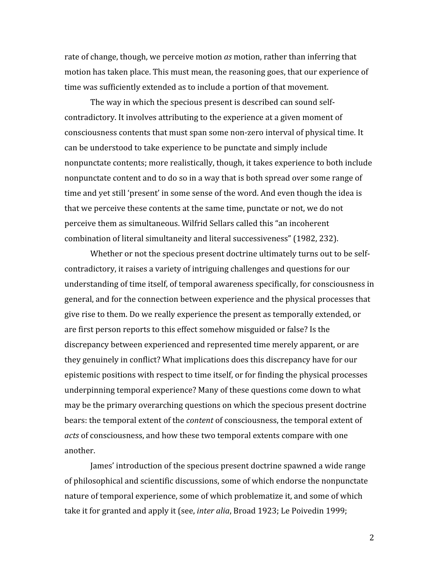rate of change, though, we perceive motion *as* motion, rather than inferring that motion has taken place. This must mean, the reasoning goes, that our experience of time was sufficiently extended as to include a portion of that movement.

The way in which the specious present is described can sound self‐ contradictory. It involves attributing to the experience at a given moment of consciousness contents that must span some non‐zero interval of physical time. It can be understood to take experience to be punctate and simply include nonpunctate contents; more realistically, though, it takes experience to both include nonpunctate content and to do so in a way that is both spread over some range of time and yet still 'present' in some sense of the word. And even though the idea is that we perceive these contents at the same time, punctate or not, we do not perceive them as simultaneous. Wilfrid Sellars called this "an incoherent combination of literal simultaneity and literal successiveness" (1982, 232).

Whether or not the specious present doctrine ultimately turns out to be selfcontradictory, it raises a variety of intriguing challenges and questions for our understanding of time itself, of temporal awareness specifically, for consciousness in general, and for the connection between experience and the physical processes that give rise to them. Do we really experience the present as temporally extended, or are first person reports to this effect somehow misguided or false? Is the discrepancy between experienced and represented time merely apparent, or are they genuinely in conflict? What implications does this discrepancy have for our epistemic positions with respect to time itself, or for finding the physical processes underpinning temporal experience? Many of these questions come down to what may be the primary overarching questions on which the specious present doctrine bears: the temporal extent of the *content* of consciousness, the temporal extent of *acts* of consciousness, and how these two temporal extents compare with one another.

James' introduction of the specious present doctrine spawned a wide range of philosophical and scientific discussions, some of which endorse the nonpunctate nature of temporal experience, some of which problematize it, and some of which take it for granted and apply it (see, *inter alia*, Broad 1923; Le Poivedin 1999;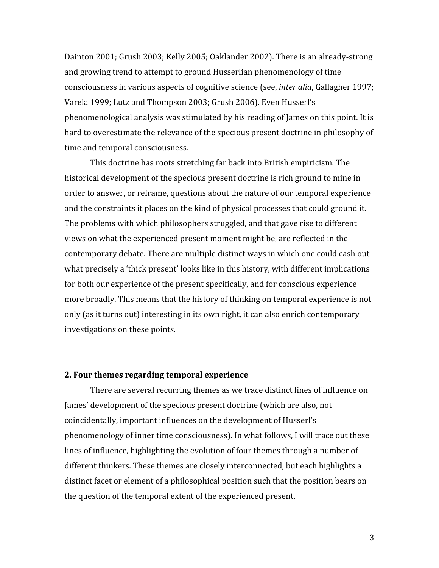Dainton 2001; Grush 2003; Kelly 2005; Oaklander 2002). There is an already‐strong and growing trend to attempt to ground Husserlian phenomenology of time consciousness in various aspects of cognitive science (see, *inter alia*, Gallagher 1997; Varela 1999; Lutz and Thompson 2003; Grush 2006). Even Husserl's phenomenological analysis was stimulated by his reading of James on this point. It is hard to overestimate the relevance of the specious present doctrine in philosophy of time and temporal consciousness.

This doctrine has roots stretching far back into British empiricism. The historical development of the specious present doctrine is rich ground to mine in order to answer, or reframe, questions about the nature of our temporal experience and the constraints it places on the kind of physical processes that could ground it. The problems with which philosophers struggled, and that gave rise to different views on what the experienced present moment might be, are reflected in the contemporary debate. There are multiple distinct ways in which one could cash out what precisely a 'thick present' looks like in this history, with different implications for both our experience of the present specifically, and for conscious experience more broadly. This means that the history of thinking on temporal experience is not only (as it turns out) interesting in its own right, it can also enrich contemporary investigations on these points.

### **2. Four themes regarding temporal experience**

There are several recurring themes as we trace distinct lines of influence on James' development of the specious present doctrine (which are also, not coincidentally, important influences on the development of Husserl's phenomenology of inner time consciousness). In what follows, I will trace out these lines of influence, highlighting the evolution of four themes through a number of different thinkers. These themes are closely interconnected, but each highlights a distinct facet or element of a philosophical position such that the position bears on the question of the temporal extent of the experienced present.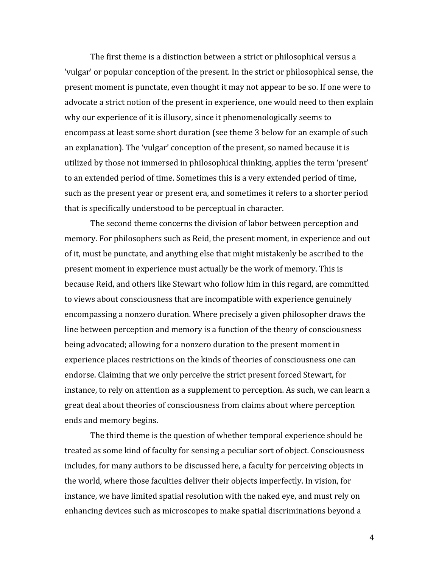The first theme is a distinction between a strict or philosophical versus a 'vulgar' or popular conception of the present. In the strict or philosophical sense, the present moment is punctate, even thought it may not appear to be so. If one were to advocate a strict notion of the present in experience, one would need to then explain why our experience of it is illusory, since it phenomenologically seems to encompass at least some short duration (see theme 3 below for an example of such an explanation). The 'vulgar' conception of the present, so named because it is utilized by those not immersed in philosophical thinking, applies the term 'present' to an extended period of time. Sometimes this is a very extended period of time, such as the present year or present era, and sometimes it refers to a shorter period that is specifically understood to be perceptual in character.

The second theme concerns the division of labor between perception and memory. For philosophers such as Reid, the present moment, in experience and out of it, must be punctate, and anything else that might mistakenly be ascribed to the present moment in experience must actually be the work of memory. This is because Reid, and others like Stewart who follow him in this regard, are committed to views about consciousness that are incompatible with experience genuinely encompassing a nonzero duration. Where precisely a given philosopher draws the line between perception and memory is a function of the theory of consciousness being advocated; allowing for a nonzero duration to the present moment in experience places restrictions on the kinds of theories of consciousness one can endorse. Claiming that we only perceive the strict present forced Stewart, for instance, to rely on attention as a supplement to perception. As such, we can learn a great deal about theories of consciousness from claims about where perception ends and memory begins.

The third theme is the question of whether temporal experience should be treated as some kind of faculty for sensing a peculiar sort of object. Consciousness includes, for many authors to be discussed here, a faculty for perceiving objects in the world, where those faculties deliver their objects imperfectly. In vision, for instance, we have limited spatial resolution with the naked eye, and must rely on enhancing devices such as microscopes to make spatial discriminations beyond a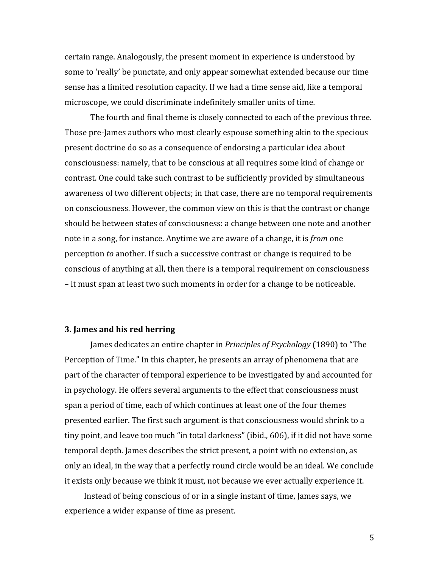certain range. Analogously, the present moment in experience is understood by some to 'really' be punctate, and only appear somewhat extended because our time sense has a limited resolution capacity. If we had a time sense aid, like a temporal microscope, we could discriminate indefinitely smaller units of time.

The fourth and final theme is closely connected to each of the previous three. Those pre‐James authors who most clearly espouse something akin to the specious present doctrine do so as a consequence of endorsing a particular idea about consciousness: namely, that to be conscious at all requires some kind of change or contrast. One could take such contrast to be sufficiently provided by simultaneous awareness of two different objects; in that case, there are no temporal requirements on consciousness. However, the common view on this is that the contrast or change should be between states of consciousness: a change between one note and another note in a song, for instance. Anytime we are aware of a change, it is *from* one perception *to* another. If such a successive contrast or change is required to be conscious of anything at all, then there is a temporal requirement on consciousness – it must span at least two such moments in order for a change to be noticeable.

### **3. James and his red herring**

James dedicates an entire chapter in *Principles of Psychology* (1890) to "The Perception of Time." In this chapter, he presents an array of phenomena that are part of the character of temporal experience to be investigated by and accounted for in psychology. He offers several arguments to the effect that consciousness must span a period of time, each of which continues at least one of the four themes presented earlier. The first such argument is that consciousness would shrink to a tiny point, and leave too much "in total darkness" (ibid., 606), if it did not have some temporal depth. James describes the strict present, a point with no extension, as only an ideal, in the way that a perfectly round circle would be an ideal. We conclude it exists only because we think it must, not because we ever actually experience it.

Instead of being conscious of or in a single instant of time, James says, we experience a wider expanse of time as present.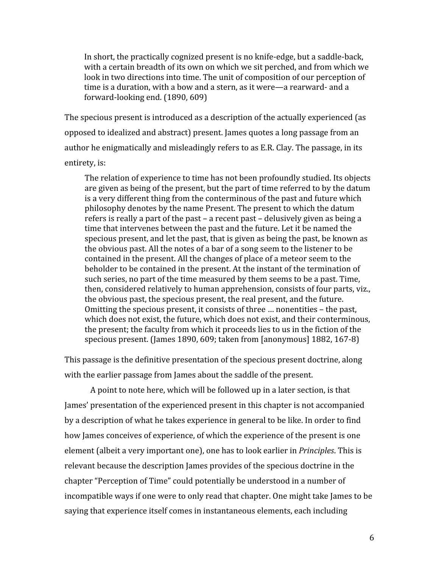In short, the practically cognized present is no knife‐edge, but a saddle‐back, with a certain breadth of its own on which we sit perched, and from which we look in two directions into time. The unit of composition of our perception of time is a duration, with a bow and a stern, as it were—a rearward‐ and a forward‐looking end. (1890, 609)

The specious present is introduced as a description of the actually experienced (as opposed to idealized and abstract) present. James quotes a long passage from an author he enigmatically and misleadingly refers to as E.R. Clay. The passage, in its entirety, is:

The relation of experience to time has not been profoundly studied. Its objects are given as being of the present, but the part of time referred to by the datum is a very different thing from the conterminous of the past and future which philosophy denotes by the name Present. The present to which the datum refers is really a part of the past – a recent past – delusively given as being a time that intervenes between the past and the future. Let it be named the specious present, and let the past, that is given as being the past, be known as the obvious past. All the notes of a bar of a song seem to the listener to be contained in the present. All the changes of place of a meteor seem to the beholder to be contained in the present. At the instant of the termination of such series, no part of the time measured by them seems to be a past. Time, then, considered relatively to human apprehension, consists of four parts, viz., the obvious past, the specious present, the real present, and the future. Omitting the specious present, it consists of three … nonentities – the past, which does not exist, the future, which does not exist, and their conterminous, the present; the faculty from which it proceeds lies to us in the fiction of the specious present. (James 1890, 609; taken from [anonymous] 1882, 167‐8)

This passage is the definitive presentation of the specious present doctrine, along with the earlier passage from James about the saddle of the present.

A point to note here, which will be followed up in a later section, is that James' presentation of the experienced present in this chapter is not accompanied by a description of what he takes experience in general to be like. In order to find how James conceives of experience, of which the experience of the present is one element (albeit a very important one), one has to look earlier in *Principles*. This is relevant because the description James provides of the specious doctrine in the chapter "Perception of Time" could potentially be understood in a number of incompatible ways if one were to only read that chapter. One might take James to be saying that experience itself comes in instantaneous elements, each including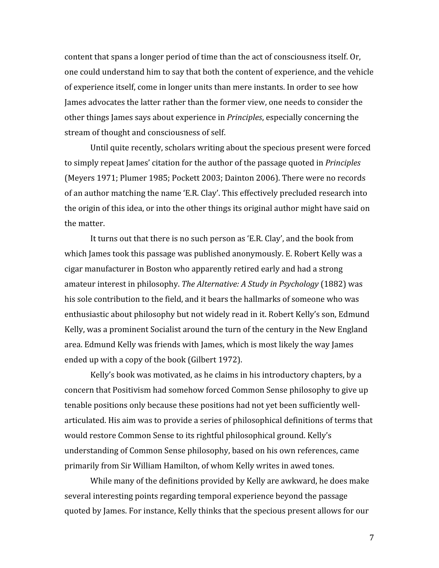content that spans a longer period of time than the act of consciousness itself. Or, one could understand him to say that both the content of experience, and the vehicle of experience itself, come in longer units than mere instants. In order to see how James advocates the latter rather than the former view, one needs to consider the other things James says about experience in *Principles*, especially concerning the stream of thought and consciousness of self.

Until quite recently, scholars writing about the specious present were forced to simply repeat James' citation for the author of the passage quoted in *Principles* (Meyers 1971; Plumer 1985; Pockett 2003; Dainton 2006). There were no records of an author matching the name 'E.R. Clay'. This effectively precluded research into the origin of this idea, or into the other things its original author might have said on the matter.

It turns out that there is no such person as 'E.R. Clay', and the book from which James took this passage was published anonymously. E. Robert Kelly was a cigar manufacturer in Boston who apparently retired early and had a strong amateur interest in philosophy. *The Alternative: A Study in Psychology* (1882) was his sole contribution to the field, and it bears the hallmarks of someone who was enthusiastic about philosophy but not widely read in it. Robert Kelly's son, Edmund Kelly, was a prominent Socialist around the turn of the century in the New England area. Edmund Kelly was friends with James, which is most likely the way James ended up with a copy of the book (Gilbert 1972).

Kelly's book was motivated, as he claims in his introductory chapters, by a concern that Positivism had somehow forced Common Sense philosophy to give up tenable positions only because these positions had not yet been sufficiently well‐ articulated. His aim was to provide a series of philosophical definitions of terms that would restore Common Sense to its rightful philosophical ground. Kelly's understanding of Common Sense philosophy, based on his own references, came primarily from Sir William Hamilton, of whom Kelly writes in awed tones.

While many of the definitions provided by Kelly are awkward, he does make several interesting points regarding temporal experience beyond the passage quoted by James. For instance, Kelly thinks that the specious present allows for our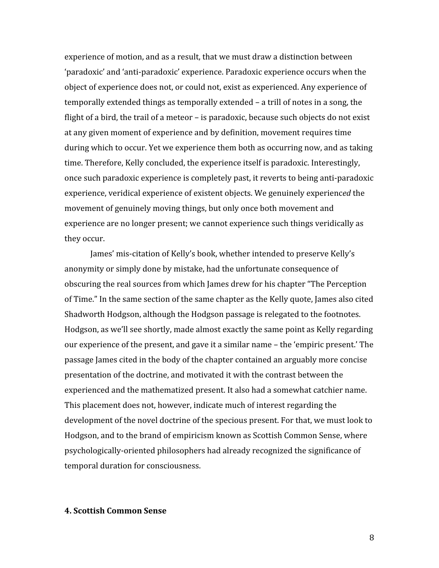experience of motion, and as a result, that we must draw a distinction between 'paradoxic' and 'anti‐paradoxic' experience. Paradoxic experience occurs when the object of experience does not, or could not, exist as experienced. Any experience of temporally extended things as temporally extended – a trill of notes in a song, the flight of a bird, the trail of a meteor – is paradoxic, because such objects do not exist at any given moment of experience and by definition, movement requires time during which to occur. Yet we experience them both as occurring now, and as taking time. Therefore, Kelly concluded, the experience itself is paradoxic. Interestingly, once such paradoxic experience is completely past, it reverts to being anti‐paradoxic experience, veridical experience of existent objects. We genuinely experienc*ed* the movement of genuinely moving things, but only once both movement and experience are no longer present; we cannot experience such things veridically as they occur.

James' mis‐citation of Kelly's book, whether intended to preserve Kelly's anonymity or simply done by mistake, had the unfortunate consequence of obscuring the real sources from which James drew for his chapter "The Perception of Time." In the same section of the same chapter as the Kelly quote, James also cited Shadworth Hodgson, although the Hodgson passage is relegated to the footnotes. Hodgson, as we'll see shortly, made almost exactly the same point as Kelly regarding our experience of the present, and gave it a similar name – the 'empiric present.' The passage James cited in the body of the chapter contained an arguably more concise presentation of the doctrine, and motivated it with the contrast between the experienced and the mathematized present. It also had a somewhat catchier name. This placement does not, however, indicate much of interest regarding the development of the novel doctrine of the specious present. For that, we must look to Hodgson, and to the brand of empiricism known as Scottish Common Sense, where psychologically‐oriented philosophers had already recognized the significance of temporal duration for consciousness.

### **4. Scottish Common Sense**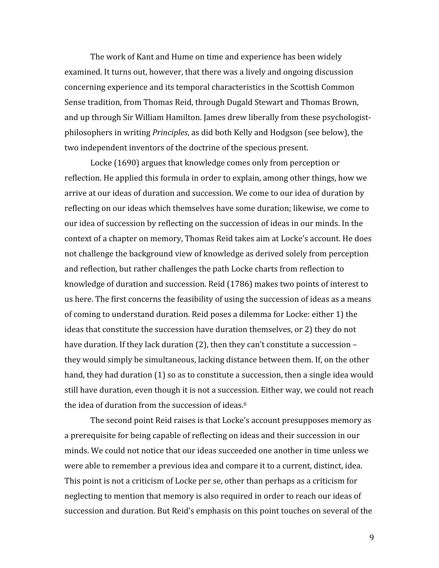The work of Kant and Hume on time and experience has been widely examined. It turns out, however, that there was a lively and ongoing discussion concerning experience and its temporal characteristics in the Scottish Common Sense tradition, from Thomas Reid, through Dugald Stewart and Thomas Brown, and up through Sir William Hamilton. James drew liberally from these psychologist‐ philosophers in writing *Principles*, as did both Kelly and Hodgson (see below), the two independent inventors of the doctrine of the specious present.

Locke (1690) argues that knowledge comes only from perception or reflection. He applied this formula in order to explain, among other things, how we arrive at our ideas of duration and succession. We come to our idea of duration by reflecting on our ideas which themselves have some duration; likewise, we come to our idea of succession by reflecting on the succession of ideas in our minds. In the context of a chapter on memory, Thomas Reid takes aim at Locke's account. He does not challenge the background view of knowledge as derived solely from perception and reflection, but rather challenges the path Locke charts from reflection to knowledge of duration and succession. Reid (1786) makes two points of interest to us here. The first concerns the feasibility of using the succession of ideas as a means of coming to understand duration. Reid poses a dilemma for Locke: either 1) the ideas that constitute the succession have duration themselves, or 2) they do not have duration. If they lack duration (2), then they can't constitute a succession – they would simply be simultaneous, lacking distance between them. If, on the other hand, they had duration (1) so as to constitute a succession, then a single idea would still have duration, even though it is not a succession. Either way, we could not reach the idea of duration from the succession of ideas.<sup>ii</sup>

The second point Reid raises is that Locke's account presupposes memory as a prerequisite for being capable of reflecting on ideas and their succession in our minds. We could not notice that our ideas succeeded one another in time unless we were able to remember a previous idea and compare it to a current, distinct, idea. This point is not a criticism of Locke per se, other than perhaps as a criticism for neglecting to mention that memory is also required in order to reach our ideas of succession and duration. But Reid's emphasis on this point touches on several of the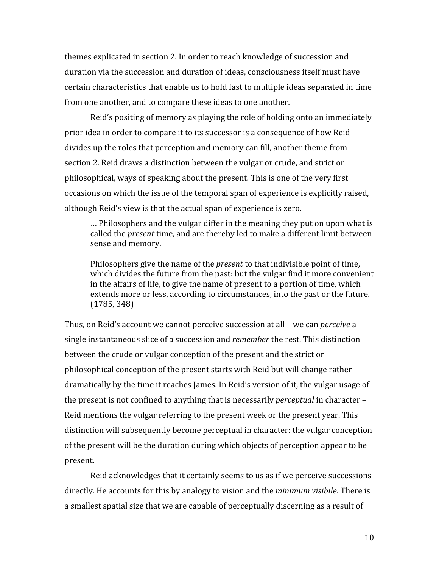themes explicated in section 2. In order to reach knowledge of succession and duration via the succession and duration of ideas, consciousness itself must have certain characteristics that enable us to hold fast to multiple ideas separated in time from one another, and to compare these ideas to one another.

Reid's positing of memory as playing the role of holding onto an immediately prior idea in order to compare it to its successor is a consequence of how Reid divides up the roles that perception and memory can fill, another theme from section 2. Reid draws a distinction between the vulgar or crude, and strict or philosophical, ways of speaking about the present. This is one of the very first occasions on which the issue of the temporal span of experience is explicitly raised, although Reid's view is that the actual span of experience is zero.

… Philosophers and the vulgar differ in the meaning they put on upon what is called the *present* time, and are thereby led to make a different limit between sense and memory.

Philosophers give the name of the *present* to that indivisible point of time, which divides the future from the past: but the vulgar find it more convenient in the affairs of life, to give the name of present to a portion of time, which extends more or less, according to circumstances, into the past or the future. (1785, 348)

Thus, on Reid's account we cannot perceive succession at all – we can *perceive* a single instantaneous slice of a succession and *remember* the rest. This distinction between the crude or vulgar conception of the present and the strict or philosophical conception of the present starts with Reid but will change rather dramatically by the time it reaches James. In Reid's version of it, the vulgar usage of the present is not confined to anything that is necessarily *perceptual* in character – Reid mentions the vulgar referring to the present week or the present year. This distinction will subsequently become perceptual in character: the vulgar conception of the present will be the duration during which objects of perception appear to be present.

Reid acknowledges that it certainly seems to us as if we perceive successions directly. He accounts for this by analogy to vision and the *minimum visibile*. There is a smallest spatial size that we are capable of perceptually discerning as a result of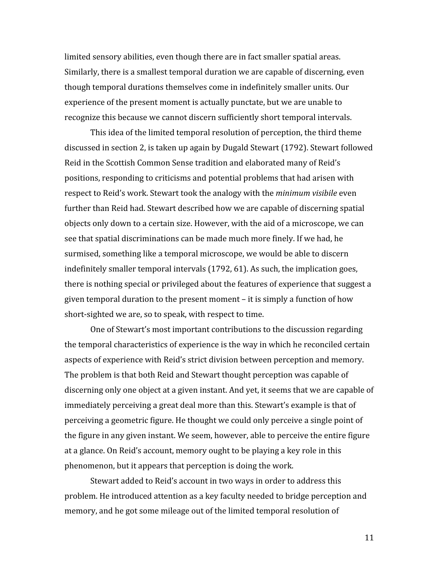limited sensory abilities, even though there are in fact smaller spatial areas. Similarly, there is a smallest temporal duration we are capable of discerning, even though temporal durations themselves come in indefinitely smaller units. Our experience of the present moment is actually punctate, but we are unable to recognize this because we cannot discern sufficiently short temporal intervals.

This idea of the limited temporal resolution of perception, the third theme discussed in section 2, is taken up again by Dugald Stewart (1792). Stewart followed Reid in the Scottish Common Sense tradition and elaborated many of Reid's positions, responding to criticisms and potential problems that had arisen with respect to Reid's work. Stewart took the analogy with the *minimum visibile* even further than Reid had. Stewart described how we are capable of discerning spatial objects only down to a certain size. However, with the aid of a microscope, we can see that spatial discriminations can be made much more finely. If we had, he surmised, something like a temporal microscope, we would be able to discern indefinitely smaller temporal intervals (1792, 61). As such, the implication goes, there is nothing special or privileged about the features of experience that suggest a given temporal duration to the present moment – it is simply a function of how short-sighted we are, so to speak, with respect to time.

One of Stewart's most important contributions to the discussion regarding the temporal characteristics of experience is the way in which he reconciled certain aspects of experience with Reid's strict division between perception and memory. The problem is that both Reid and Stewart thought perception was capable of discerning only one object at a given instant. And yet, it seems that we are capable of immediately perceiving a great deal more than this. Stewart's example is that of perceiving a geometric figure. He thought we could only perceive a single point of the figure in any given instant. We seem, however, able to perceive the entire figure at a glance. On Reid's account, memory ought to be playing a key role in this phenomenon, but it appears that perception is doing the work.

Stewart added to Reid's account in two ways in order to address this problem. He introduced attention as a key faculty needed to bridge perception and memory, and he got some mileage out of the limited temporal resolution of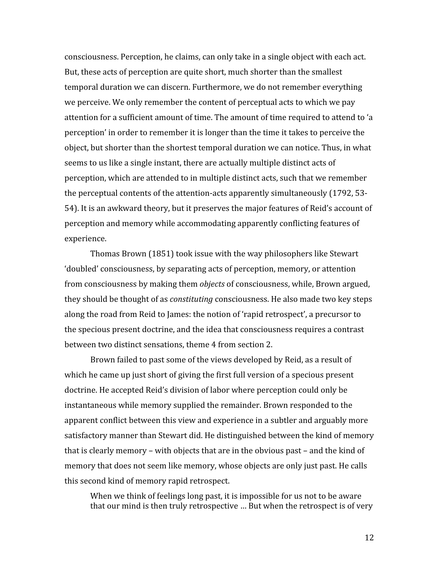consciousness. Perception, he claims, can only take in a single object with each act. But, these acts of perception are quite short, much shorter than the smallest temporal duration we can discern. Furthermore, we do not remember everything we perceive. We only remember the content of perceptual acts to which we pay attention for a sufficient amount of time. The amount of time required to attend to 'a perception' in order to remember it is longer than the time it takes to perceive the object, but shorter than the shortest temporal duration we can notice. Thus, in what seems to us like a single instant, there are actually multiple distinct acts of perception, which are attended to in multiple distinct acts, such that we remember the perceptual contents of the attention‐acts apparently simultaneously (1792, 53‐ 54). It is an awkward theory, but it preserves the major features of Reid's account of perception and memory while accommodating apparently conflicting features of experience.

Thomas Brown (1851) took issue with the way philosophers like Stewart 'doubled' consciousness, by separating acts of perception, memory, or attention from consciousness by making them *objects* of consciousness, while, Brown argued, they should be thought of as *constituting* consciousness. He also made two key steps along the road from Reid to James: the notion of 'rapid retrospect', a precursor to the specious present doctrine, and the idea that consciousness requires a contrast between two distinct sensations, theme 4 from section 2.

Brown failed to past some of the views developed by Reid, as a result of which he came up just short of giving the first full version of a specious present doctrine. He accepted Reid's division of labor where perception could only be instantaneous while memory supplied the remainder. Brown responded to the apparent conflict between this view and experience in a subtler and arguably more satisfactory manner than Stewart did. He distinguished between the kind of memory that is clearly memory – with objects that are in the obvious past – and the kind of memory that does not seem like memory, whose objects are only just past. He calls this second kind of memory rapid retrospect.

When we think of feelings long past, it is impossible for us not to be aware that our mind is then truly retrospective … But when the retrospect is of very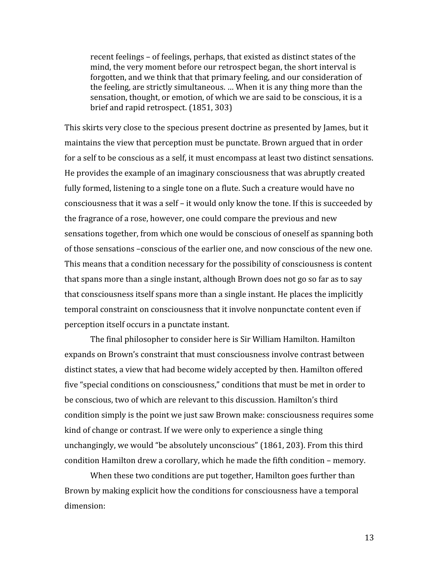recent feelings – of feelings, perhaps, that existed as distinct states of the mind, the very moment before our retrospect began, the short interval is forgotten, and we think that that primary feeling, and our consideration of the feeling, are strictly simultaneous. … When it is any thing more than the sensation, thought, or emotion, of which we are said to be conscious, it is a brief and rapid retrospect. (1851, 303)

This skirts very close to the specious present doctrine as presented by James, but it maintains the view that perception must be punctate. Brown argued that in order for a self to be conscious as a self, it must encompass at least two distinct sensations. He provides the example of an imaginary consciousness that was abruptly created fully formed, listening to a single tone on a flute. Such a creature would have no consciousness that it was a self – it would only know the tone. If this is succeeded by the fragrance of a rose, however, one could compare the previous and new sensations together, from which one would be conscious of oneself as spanning both of those sensations –conscious of the earlier one, and now conscious of the new one. This means that a condition necessary for the possibility of consciousness is content that spans more than a single instant, although Brown does not go so far as to say that consciousness itself spans more than a single instant. He places the implicitly temporal constraint on consciousness that it involve nonpunctate content even if perception itself occurs in a punctate instant.

The final philosopher to consider here is Sir William Hamilton. Hamilton expands on Brown's constraint that must consciousness involve contrast between distinct states, a view that had become widely accepted by then. Hamilton offered five "special conditions on consciousness," conditions that must be met in order to be conscious, two of which are relevant to this discussion. Hamilton's third condition simply is the point we just saw Brown make: consciousness requires some kind of change or contrast. If we were only to experience a single thing unchangingly, we would "be absolutely unconscious" (1861, 203). From this third condition Hamilton drew a corollary, which he made the fifth condition – memory.

When these two conditions are put together, Hamilton goes further than Brown by making explicit how the conditions for consciousness have a temporal dimension: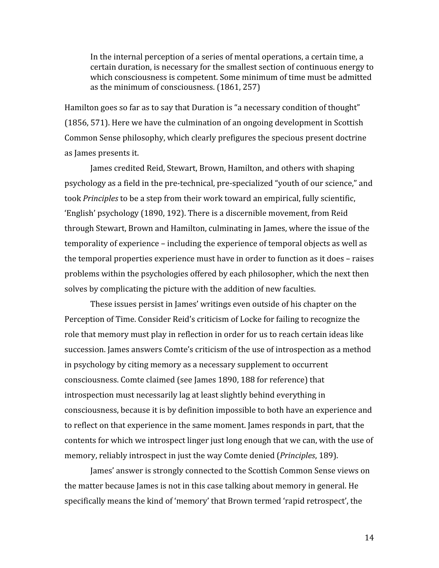In the internal perception of a series of mental operations, a certain time, a certain duration, is necessary for the smallest section of continuous energy to which consciousness is competent. Some minimum of time must be admitted as the minimum of consciousness. (1861, 257)

Hamilton goes so far as to say that Duration is "a necessary condition of thought" (1856, 571). Here we have the culmination of an ongoing development in Scottish Common Sense philosophy, which clearly prefigures the specious present doctrine as James presents it.

James credited Reid, Stewart, Brown, Hamilton, and others with shaping psychology as a field in the pre‐technical, pre‐specialized "youth of our science," and took *Principles* to be a step from their work toward an empirical, fully scientific, 'English' psychology (1890, 192). There is a discernible movement, from Reid through Stewart, Brown and Hamilton, culminating in James, where the issue of the temporality of experience – including the experience of temporal objects as well as the temporal properties experience must have in order to function as it does – raises problems within the psychologies offered by each philosopher, which the next then solves by complicating the picture with the addition of new faculties.

These issues persist in James' writings even outside of his chapter on the Perception of Time. Consider Reid's criticism of Locke for failing to recognize the role that memory must play in reflection in order for us to reach certain ideas like succession. James answers Comte's criticism of the use of introspection as a method in psychology by citing memory as a necessary supplement to occurrent consciousness. Comte claimed (see James 1890, 188 for reference) that introspection must necessarily lag at least slightly behind everything in consciousness, because it is by definition impossible to both have an experience and to reflect on that experience in the same moment. James responds in part, that the contents for which we introspect linger just long enough that we can, with the use of memory, reliably introspect in just the way Comte denied (*Principles*, 189).

James' answer is strongly connected to the Scottish Common Sense views on the matter because James is not in this case talking about memory in general. He specifically means the kind of 'memory' that Brown termed 'rapid retrospect', the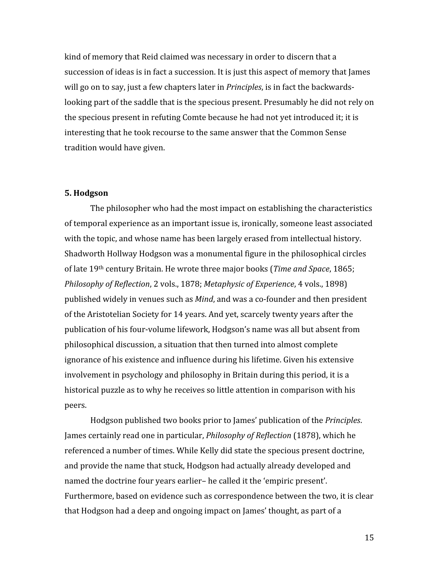kind of memory that Reid claimed was necessary in order to discern that a succession of ideas is in fact a succession. It is just this aspect of memory that James will go on to say, just a few chapters later in *Principles*, is in fact the backwards‐ looking part of the saddle that is the specious present. Presumably he did not rely on the specious present in refuting Comte because he had not yet introduced it; it is interesting that he took recourse to the same answer that the Common Sense tradition would have given.

### **5. Hodgson**

The philosopher who had the most impact on establishing the characteristics of temporal experience as an important issue is, ironically, someone least associated with the topic, and whose name has been largely erased from intellectual history. Shadworth Hollway Hodgson was a monumental figure in the philosophical circles of late 19th century Britain. He wrote three major books (*Time and Space*, 1865; *Philosophy of Reflection*, 2 vols., 1878; *Metaphysic of Experience*, 4 vols., 1898) published widely in venues such as *Mind*, and was a co‐founder and then president of the Aristotelian Society for 14 years. And yet, scarcely twenty years after the publication of his four‐volume lifework, Hodgson's name was all but absent from philosophical discussion, a situation that then turned into almost complete ignorance of his existence and influence during his lifetime. Given his extensive involvement in psychology and philosophy in Britain during this period, it is a historical puzzle as to why he receives so little attention in comparison with his peers.

Hodgson published two books prior to James' publication of the *Principles*. James certainly read one in particular, *Philosophy of Reflection* (1878), which he referenced a number of times. While Kelly did state the specious present doctrine, and provide the name that stuck, Hodgson had actually already developed and named the doctrine four years earlier– he called it the 'empiric present'. Furthermore, based on evidence such as correspondence between the two, it is clear that Hodgson had a deep and ongoing impact on James' thought, as part of a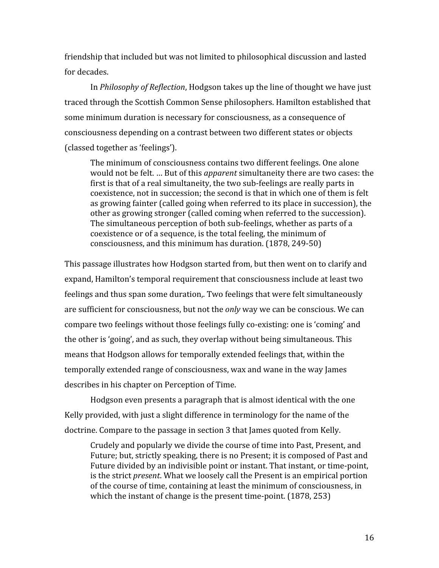friendship that included but was not limited to philosophical discussion and lasted for decades.

In *Philosophy of Reflection*, Hodgson takes up the line of thought we have just traced through the Scottish Common Sense philosophers. Hamilton established that some minimum duration is necessary for consciousness, as a consequence of consciousness depending on a contrast between two different states or objects (classed together as 'feelings').

The minimum of consciousness contains two different feelings. One alone would not be felt. … But of this *apparent* simultaneity there are two cases: the first is that of a real simultaneity, the two sub‐feelings are really parts in coexistence, not in succession; the second is that in which one of them is felt as growing fainter (called going when referred to its place in succession), the other as growing stronger (called coming when referred to the succession). The simultaneous perception of both sub-feelings, whether as parts of a coexistence or of a sequence, is the total feeling, the minimum of consciousness, and this minimum has duration. (1878, 249‐50)

This passage illustrates how Hodgson started from, but then went on to clarify and expand, Hamilton's temporal requirement that consciousness include at least two feelings and thus span some duration,. Two feelings that were felt simultaneously are sufficient for consciousness, but not the *only* way we can be conscious. We can compare two feelings without those feelings fully co-existing: one is 'coming' and the other is 'going', and as such, they overlap without being simultaneous. This means that Hodgson allows for temporally extended feelings that, within the temporally extended range of consciousness, wax and wane in the way James describes in his chapter on Perception of Time.

Hodgson even presents a paragraph that is almost identical with the one Kelly provided, with just a slight difference in terminology for the name of the doctrine. Compare to the passage in section 3 that James quoted from Kelly.

Crudely and popularly we divide the course of time into Past, Present, and Future; but, strictly speaking, there is no Present; it is composed of Past and Future divided by an indivisible point or instant. That instant, or time‐point, is the strict *present*. What we loosely call the Present is an empirical portion of the course of time, containing at least the minimum of consciousness, in which the instant of change is the present time-point. (1878, 253)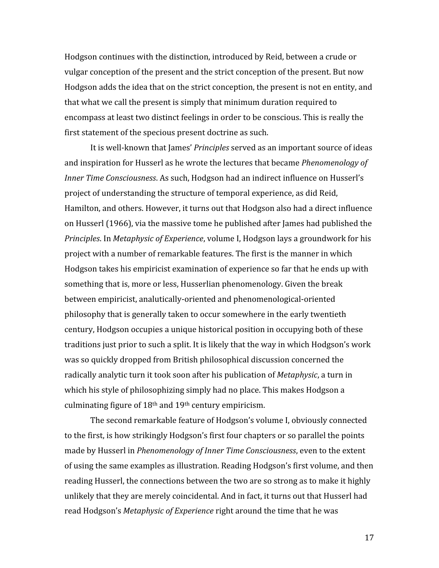Hodgson continues with the distinction, introduced by Reid, between a crude or vulgar conception of the present and the strict conception of the present. But now Hodgson adds the idea that on the strict conception, the present is not en entity, and that what we call the present is simply that minimum duration required to encompass at least two distinct feelings in order to be conscious. This is really the first statement of the specious present doctrine as such.

It is well‐known that James' *Principles* served as an important source of ideas and inspiration for Husserl as he wrote the lectures that became *Phenomenology of Inner Time Consciousness*. As such, Hodgson had an indirect influence on Husserl's project of understanding the structure of temporal experience, as did Reid, Hamilton, and others. However, it turns out that Hodgson also had a direct influence on Husserl (1966), via the massive tome he published after James had published the *Principles*. In *Metaphysic of Experience*, volume I, Hodgson lays a groundwork for his project with a number of remarkable features. The first is the manner in which Hodgson takes his empiricist examination of experience so far that he ends up with something that is, more or less, Husserlian phenomenology. Given the break between empiricist, analutically-oriented and phenomenological-oriented philosophy that is generally taken to occur somewhere in the early twentieth century, Hodgson occupies a unique historical position in occupying both of these traditions just prior to such a split. It is likely that the way in which Hodgson's work was so quickly dropped from British philosophical discussion concerned the radically analytic turn it took soon after his publication of *Metaphysic*, a turn in which his style of philosophizing simply had no place. This makes Hodgson a culminating figure of 18th and 19th century empiricism.

The second remarkable feature of Hodgson's volume I, obviously connected to the first, is how strikingly Hodgson's first four chapters or so parallel the points made by Husserl in *Phenomenology of Inner Time Consciousness*, even to the extent of using the same examples as illustration. Reading Hodgson's first volume, and then reading Husserl, the connections between the two are so strong as to make it highly unlikely that they are merely coincidental. And in fact, it turns out that Husserl had read Hodgson's *Metaphysic of Experience* right around the time that he was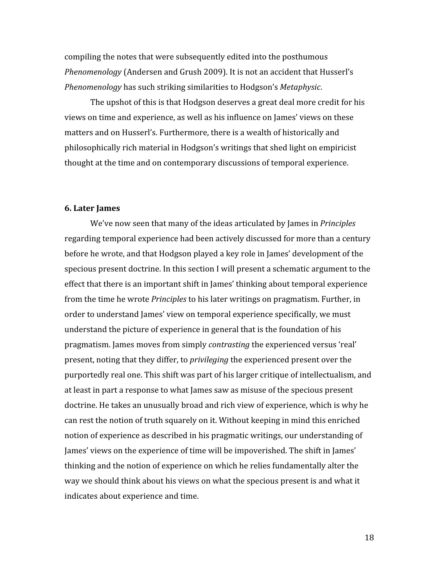compiling the notes that were subsequently edited into the posthumous *Phenomenology* (Andersen and Grush 2009). It is not an accident that Husserl's *Phenomenology* has such striking similarities to Hodgson's *Metaphysic*.

The upshot of this is that Hodgson deserves a great deal more credit for his views on time and experience, as well as his influence on James' views on these matters and on Husserl's. Furthermore, there is a wealth of historically and philosophically rich material in Hodgson's writings that shed light on empiricist thought at the time and on contemporary discussions of temporal experience.

#### **6. Later James**

We've now seen that many of the ideas articulated by James in *Principles* regarding temporal experience had been actively discussed for more than a century before he wrote, and that Hodgson played a key role in James' development of the specious present doctrine. In this section I will present a schematic argument to the effect that there is an important shift in James' thinking about temporal experience from the time he wrote *Principles* to his later writings on pragmatism. Further, in order to understand James' view on temporal experience specifically, we must understand the picture of experience in general that is the foundation of his pragmatism. James moves from simply *contrasting* the experienced versus 'real' present, noting that they differ, to *privileging* the experienced present over the purportedly real one. This shift was part of his larger critique of intellectualism, and at least in part a response to what James saw as misuse of the specious present doctrine. He takes an unusually broad and rich view of experience, which is why he can rest the notion of truth squarely on it. Without keeping in mind this enriched notion of experience as described in his pragmatic writings, our understanding of James' views on the experience of time will be impoverished. The shift in James' thinking and the notion of experience on which he relies fundamentally alter the way we should think about his views on what the specious present is and what it indicates about experience and time.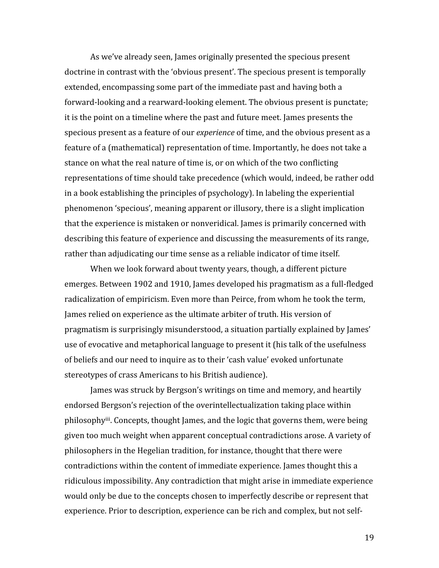As we've already seen, James originally presented the specious present doctrine in contrast with the 'obvious present'. The specious present is temporally extended, encompassing some part of the immediate past and having both a forward-looking and a rearward-looking element. The obvious present is punctate; it is the point on a timeline where the past and future meet. James presents the specious present as a feature of our *experience* of time, and the obvious present as a feature of a (mathematical) representation of time. Importantly, he does not take a stance on what the real nature of time is, or on which of the two conflicting representations of time should take precedence (which would, indeed, be rather odd in a book establishing the principles of psychology). In labeling the experiential phenomenon 'specious', meaning apparent or illusory, there is a slight implication that the experience is mistaken or nonveridical. James is primarily concerned with describing this feature of experience and discussing the measurements of its range, rather than adjudicating our time sense as a reliable indicator of time itself.

When we look forward about twenty years, though, a different picture emerges. Between 1902 and 1910, James developed his pragmatism as a full-fledged radicalization of empiricism. Even more than Peirce, from whom he took the term, James relied on experience as the ultimate arbiter of truth. His version of pragmatism is surprisingly misunderstood, a situation partially explained by James' use of evocative and metaphorical language to present it (his talk of the usefulness of beliefs and our need to inquire as to their 'cash value' evoked unfortunate stereotypes of crass Americans to his British audience).

James was struck by Bergson's writings on time and memory, and heartily endorsed Bergson's rejection of the overintellectualization taking place within philosophyiii. Concepts, thought James, and the logic that governs them, were being given too much weight when apparent conceptual contradictions arose. A variety of philosophers in the Hegelian tradition, for instance, thought that there were contradictions within the content of immediate experience. James thought this a ridiculous impossibility. Any contradiction that might arise in immediate experience would only be due to the concepts chosen to imperfectly describe or represent that experience. Prior to description, experience can be rich and complex, but not self‐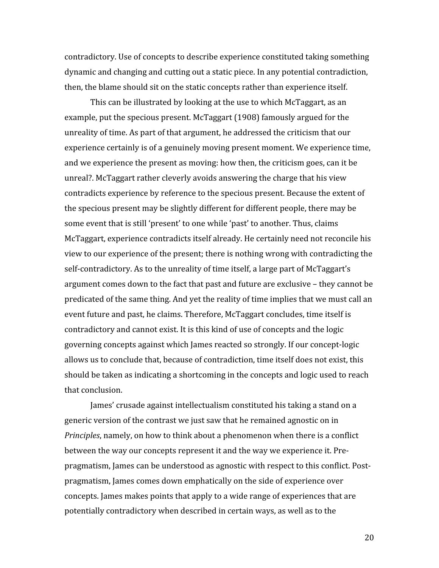contradictory. Use of concepts to describe experience constituted taking something dynamic and changing and cutting out a static piece. In any potential contradiction, then, the blame should sit on the static concepts rather than experience itself.

This can be illustrated by looking at the use to which McTaggart, as an example, put the specious present. McTaggart (1908) famously argued for the unreality of time. As part of that argument, he addressed the criticism that our experience certainly is of a genuinely moving present moment. We experience time, and we experience the present as moving: how then, the criticism goes, can it be unreal?. McTaggart rather cleverly avoids answering the charge that his view contradicts experience by reference to the specious present. Because the extent of the specious present may be slightly different for different people, there may be some event that is still 'present' to one while 'past' to another. Thus, claims McTaggart, experience contradicts itself already. He certainly need not reconcile his view to our experience of the present; there is nothing wrong with contradicting the self-contradictory. As to the unreality of time itself, a large part of McTaggart's argument comes down to the fact that past and future are exclusive – they cannot be predicated of the same thing. And yet the reality of time implies that we must call an event future and past, he claims. Therefore, McTaggart concludes, time itself is contradictory and cannot exist. It is this kind of use of concepts and the logic governing concepts against which James reacted so strongly. If our concept‐logic allows us to conclude that, because of contradiction, time itself does not exist, this should be taken as indicating a shortcoming in the concepts and logic used to reach that conclusion.

James' crusade against intellectualism constituted his taking a stand on a generic version of the contrast we just saw that he remained agnostic on in *Principles*, namely, on how to think about a phenomenon when there is a conflict between the way our concepts represent it and the way we experience it. Pre‐ pragmatism, James can be understood as agnostic with respect to this conflict. Post‐ pragmatism, James comes down emphatically on the side of experience over concepts. James makes points that apply to a wide range of experiences that are potentially contradictory when described in certain ways, as well as to the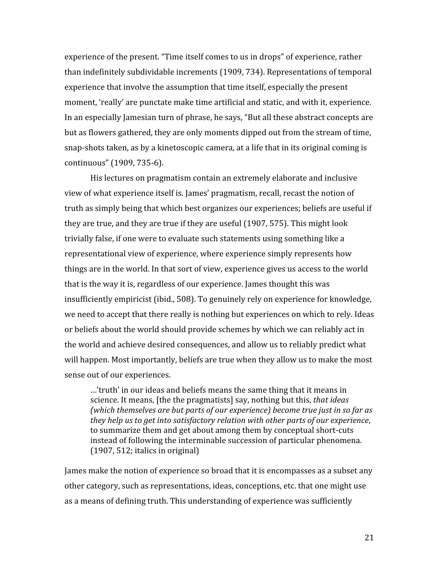experience of the present. "Time itself comes to us in drops" of experience, rather than indefinitely subdividable increments (1909, 734). Representations of temporal experience that involve the assumption that time itself, especially the present moment, 'really' are punctate make time artificial and static, and with it, experience. In an especially Jamesian turn of phrase, he says, "But all these abstract concepts are but as flowers gathered, they are only moments dipped out from the stream of time, snap‐shots taken, as by a kinetoscopic camera, at a life that in its original coming is continuous" (1909, 735‐6).

His lectures on pragmatism contain an extremely elaborate and inclusive view of what experience itself is. James' pragmatism, recall, recast the notion of truth as simply being that which best organizes our experiences; beliefs are useful if they are true, and they are true if they are useful (1907, 575). This might look trivially false, if one were to evaluate such statements using something like a representational view of experience, where experience simply represents how things are in the world. In that sort of view, experience gives us access to the world that is the way it is, regardless of our experience. James thought this was insufficiently empiricist (ibid., 508). To genuinely rely on experience for knowledge, we need to accept that there really is nothing but experiences on which to rely. Ideas or beliefs about the world should provide schemes by which we can reliably act in the world and achieve desired consequences, and allow us to reliably predict what will happen. Most importantly, beliefs are true when they allow us to make the most sense out of our experiences.

…'truth' in our ideas and beliefs means the same thing that it means in science. It means, [the the pragmatists] say, nothing but this, *that ideas (which themselves are but parts of our experience) become true just in so far as they help us to get into satisfactory relation with other parts of our experience*, to summarize them and get about among them by conceptual short‐cuts instead of following the interminable succession of particular phenomena. (1907, 512; italics in original)

James make the notion of experience so broad that it is encompasses as a subset any other category, such as representations, ideas, conceptions, etc. that one might use as a means of defining truth. This understanding of experience was sufficiently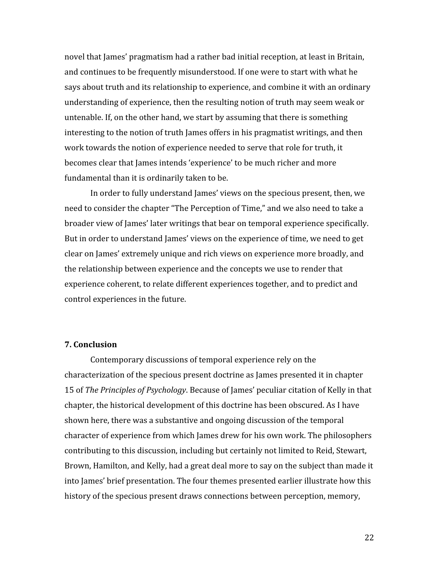novel that James' pragmatism had a rather bad initial reception, at least in Britain, and continues to be frequently misunderstood. If one were to start with what he says about truth and its relationship to experience, and combine it with an ordinary understanding of experience, then the resulting notion of truth may seem weak or untenable. If, on the other hand, we start by assuming that there is something interesting to the notion of truth James offers in his pragmatist writings, and then work towards the notion of experience needed to serve that role for truth, it becomes clear that James intends 'experience' to be much richer and more fundamental than it is ordinarily taken to be.

In order to fully understand James' views on the specious present, then, we need to consider the chapter "The Perception of Time," and we also need to take a broader view of James' later writings that bear on temporal experience specifically. But in order to understand James' views on the experience of time, we need to get clear on James' extremely unique and rich views on experience more broadly, and the relationship between experience and the concepts we use to render that experience coherent, to relate different experiences together, and to predict and control experiences in the future.

# **7. Conclusion**

Contemporary discussions of temporal experience rely on the characterization of the specious present doctrine as James presented it in chapter 15 of *The Principles of Psychology*. Because of James' peculiar citation of Kelly in that chapter, the historical development of this doctrine has been obscured. As I have shown here, there was a substantive and ongoing discussion of the temporal character of experience from which James drew for his own work. The philosophers contributing to this discussion, including but certainly not limited to Reid, Stewart, Brown, Hamilton, and Kelly, had a great deal more to say on the subject than made it into James' brief presentation. The four themes presented earlier illustrate how this history of the specious present draws connections between perception, memory,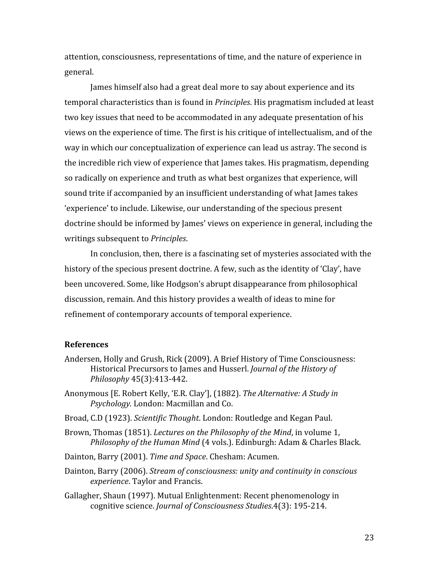attention, consciousness, representations of time, and the nature of experience in general.

James himself also had a great deal more to say about experience and its temporal characteristics than is found in *Principles*. His pragmatism included at least two key issues that need to be accommodated in any adequate presentation of his views on the experience of time. The first is his critique of intellectualism, and of the way in which our conceptualization of experience can lead us astray. The second is the incredible rich view of experience that James takes. His pragmatism, depending so radically on experience and truth as what best organizes that experience, will sound trite if accompanied by an insufficient understanding of what James takes 'experience' to include. Likewise, our understanding of the specious present doctrine should be informed by James' views on experience in general, including the writings subsequent to *Principles*.

In conclusion, then, there is a fascinating set of mysteries associated with the history of the specious present doctrine. A few, such as the identity of 'Clay', have been uncovered. Some, like Hodgson's abrupt disappearance from philosophical discussion, remain. And this history provides a wealth of ideas to mine for refinement of contemporary accounts of temporal experience.

#### **References**

- Andersen, Holly and Grush, Rick (2009). A Brief History of Time Consciousness: Historical Precursors to James and Husserl. *Journal of the History of Philosophy* 45(3):413‐442.
- Anonymous [E. Robert Kelly, 'E.R. Clay'], (1882). *The Alternative: A Study in Psychology.* London: Macmillan and Co.
- Broad, C.D (1923). *Scientific Thought*. London: Routledge and Kegan Paul.
- Brown, Thomas (1851). *Lectures on the Philosophy of the Mind*, in volume 1, *Philosophy of the Human Mind* (4 vols.). Edinburgh: Adam & Charles Black.
- Dainton, Barry (2001). *Time and Space*. Chesham: Acumen.
- Dainton, Barry (2006). *Stream of consciousness: unity and continuity in conscious experience*. Taylor and Francis.
- Gallagher, Shaun (1997). Mutual Enlightenment: Recent phenomenology in cognitive science. *Journal of Consciousness Studies*.4(3): 195‐214.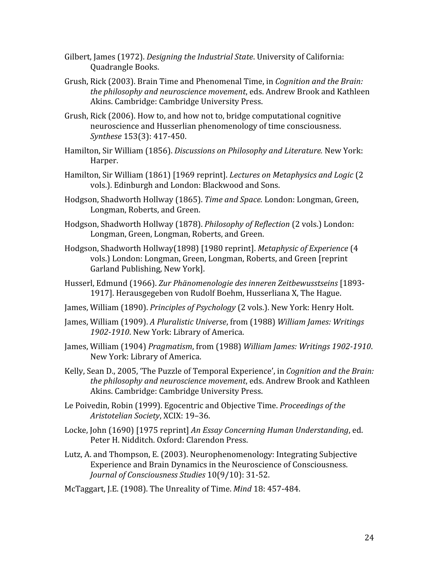- Gilbert, James (1972). *Designing the Industrial State*. University of California: Quadrangle Books.
- Grush, Rick (2003). Brain Time and Phenomenal Time, in *Cognition and the Brain: the philosophy and neuroscience movement*, eds. Andrew Brook and Kathleen Akins. Cambridge: Cambridge University Press.
- Grush, Rick (2006). How to, and how not to, bridge computational cognitive neuroscience and Husserlian phenomenology of time consciousness. *Synthese* 153(3): 417‐450.
- Hamilton, Sir William (1856). *Discussions on Philosophy and Literature.* New York: Harper.
- Hamilton, Sir William (1861) [1969 reprint]. *Lectures on Metaphysics and Logic* (2 vols.). Edinburgh and London: Blackwood and Sons.
- Hodgson, Shadworth Hollway (1865). *Time and Space.* London: Longman, Green, Longman, Roberts, and Green.
- Hodgson, Shadworth Hollway (1878). *Philosophy of Reflection* (2 vols.) London: Longman, Green, Longman, Roberts, and Green.
- Hodgson, Shadworth Hollway(1898) [1980 reprint]. *Metaphysic of Experience* (4 vols.) London: Longman, Green, Longman, Roberts, and Green [reprint Garland Publishing, New York].
- Husserl, Edmund (1966). *Zur Phänomenologie des inneren Zeitbewusstseins* [1893‐ 1917]. Herausgegeben von Rudolf Boehm, Husserliana X, The Hague.
- James, William (1890). *Principles of Psychology* (2 vols.). New York: Henry Holt.
- James, William (1909). *A Pluralistic Universe*, from (1988) *William James: Writings*  1902-1910. New York: Library of America.
- James, William (1904) *Pragmatism*, from (1988) *William James: Writings 1902-1910*. New York: Library of America.
- Kelly, Sean D., 2005, 'The Puzzle of Temporal Experience', in *Cognition and the Brain: the philosophy and neuroscience movement*, eds. Andrew Brook and Kathleen Akins. Cambridge: Cambridge University Press.
- Le Poivedin, Robin (1999). Egocentric and Objective Time. *Proceedings of the Aristotelian Society*, XCIX: 19–36.
- Locke, John (1690) [1975 reprint] *An Essay Concerning Human Understanding*, ed. Peter H. Nidditch. Oxford: Clarendon Press.
- Lutz, A. and Thompson, E. (2003). Neurophenomenology: Integrating Subjective Experience and Brain Dynamics in the Neuroscience of Consciousness. *Journal of Consciousness Studies* 10(9/10): 31‐52.

McTaggart, J.E. (1908). The Unreality of Time. *Mind* 18: 457‐484.